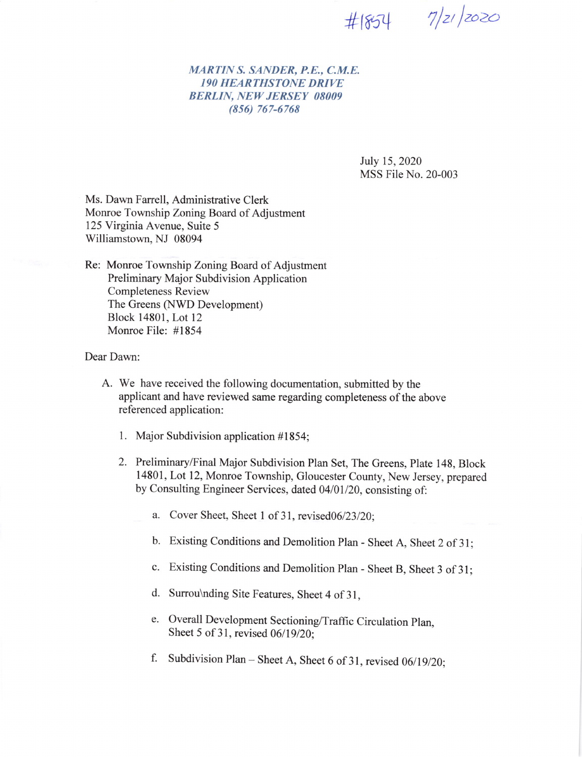$#1854$   $7/2/2020$ 

## MARTIN S. SANDER, P.E., C.M.E. I9O HEARTHSTONE DRIVE BERLIN, NEW JERSEY O8OO9 (8s6) 767-6768

July 15,2020 MSS File No. 20-003

Ms. Dawn Farrell, Administrative Clerk Monroe Township Zoning Board of Adjustment 125 Virginia Avenue, Suite 5 Williamstown, NJ 08094

Re: Monroe Township Zoning Board of Adjustment Preliminary Major Subdivision Application Completeness Review The Greens (NWD Development) Block 14801, Lot12 Monroe File: #1854

Dear Dawn

- A. We have received the following documentation, submitted by the applicant and have reviewed same regarding completeness of the above referenced application:
	- 1. Major Subdivision application #1854;
	- 2. Preliminary/Final Major Subdivision Plan Set, The Greens, Plate 148, Block 14801, Lot 12, Monroe Township, Gloucester County, New Jersey, prepared by Consulting Engineer Services, dated 04/01/20, consisting of:
		- a. Cover Sheet, Sheet 1 of 31, revised06/23/20;
		- b. Existing Conditions and Demolition Plan Sheet A, Sheet 2 of 31;
		- c. Existing conditions and Demolition Plan Sheet B, Sheet 3 of 3l;
		- d. Surrou\nding Site Features, Sheet 4 of 3I,
		- e. overall Development Sectioning/Traffic circulation plan, Sheet 5 of 31, revised 06/19/20;
		- f. Subdivision Plan Sheet A, Sheet 6 of 31, revised  $06/19/20$ ;